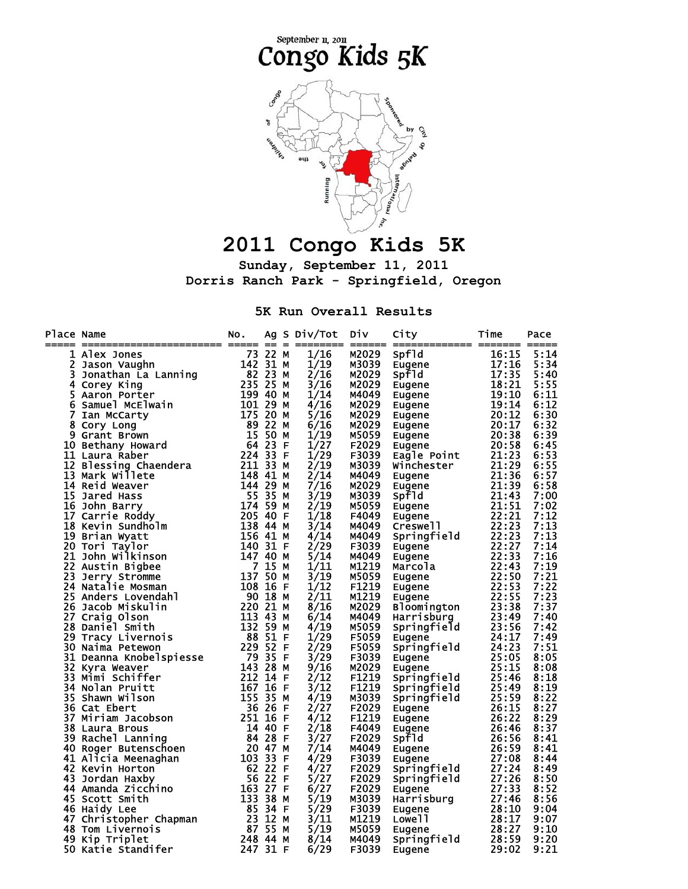

## **2011 Congo Kids 5K**

**Sunday, September 11, 2011 Dorris Ranch Park - Springfield, Oregon** 

**5K Run Overall Results** 

| Place Name | ace Name<br>Index Jones<br>2 Jason Vaughin<br>2 Jason Vaughin<br>2 Jason Vaughin<br>2 Jason Vaughin<br>5 Jonathan La Lanning<br>4 Corey King<br>6 Samuel McElwain<br>10 Bethany Howard<br>10 Bethany Howard<br>11 Laura Raber<br>224 333 25 25 25 25 2 | NO. |  | Ag S Div/Tot | Div.              | City                                                                                                                                                                                                                                                       | Time  | Pace |
|------------|--------------------------------------------------------------------------------------------------------------------------------------------------------------------------------------------------------------------------------------------------------|-----|--|--------------|-------------------|------------------------------------------------------------------------------------------------------------------------------------------------------------------------------------------------------------------------------------------------------------|-------|------|
|            |                                                                                                                                                                                                                                                        |     |  | 1/16         | M2029             | 9<br>Principal and the space of the space of the space of the space<br>Eugene Eugene 20:12<br>Eugene 20:12<br>Eugene 20:12<br>Eugene 20:12<br>Eugene 20:12<br>Eugene 20:12<br>Eugene 20:138<br>20:138<br>20:12<br>Eugene 21:139<br>21:139<br>21:139<br>21: |       | 5:14 |
|            |                                                                                                                                                                                                                                                        |     |  | 1/19         | M3039             |                                                                                                                                                                                                                                                            |       | 5:34 |
|            |                                                                                                                                                                                                                                                        |     |  | 2/16         | M2029             |                                                                                                                                                                                                                                                            |       | 5:40 |
|            |                                                                                                                                                                                                                                                        |     |  | 3/16         | M2029             |                                                                                                                                                                                                                                                            |       | 5:55 |
|            |                                                                                                                                                                                                                                                        |     |  | 1/14         | M4049             |                                                                                                                                                                                                                                                            |       | 6:11 |
|            |                                                                                                                                                                                                                                                        |     |  | 4/16         | M2029             |                                                                                                                                                                                                                                                            |       | 6:12 |
|            |                                                                                                                                                                                                                                                        |     |  | 5/16         | M2029             |                                                                                                                                                                                                                                                            |       | 6:30 |
|            |                                                                                                                                                                                                                                                        |     |  | 6/16         | M2029             |                                                                                                                                                                                                                                                            |       | 6:32 |
|            |                                                                                                                                                                                                                                                        |     |  | 1/19         | M5059             |                                                                                                                                                                                                                                                            |       | 6:39 |
|            |                                                                                                                                                                                                                                                        |     |  | 1/27         | F2029             |                                                                                                                                                                                                                                                            |       | 6:45 |
|            |                                                                                                                                                                                                                                                        |     |  | 1/29         | F3039             |                                                                                                                                                                                                                                                            |       | 6:53 |
|            |                                                                                                                                                                                                                                                        |     |  | 2/19         | M3039             |                                                                                                                                                                                                                                                            |       | 6:55 |
|            |                                                                                                                                                                                                                                                        |     |  | 2/14         | M4049             |                                                                                                                                                                                                                                                            |       | 6:57 |
|            |                                                                                                                                                                                                                                                        |     |  | 7/16         | M2029             |                                                                                                                                                                                                                                                            |       | 6:58 |
|            |                                                                                                                                                                                                                                                        |     |  | 3/19         | M3039             |                                                                                                                                                                                                                                                            |       | 7:00 |
|            |                                                                                                                                                                                                                                                        |     |  | 2/19         | M5059             |                                                                                                                                                                                                                                                            |       | 7:02 |
|            |                                                                                                                                                                                                                                                        |     |  | 1/18         | F4049             |                                                                                                                                                                                                                                                            |       | 7:12 |
|            |                                                                                                                                                                                                                                                        |     |  | 3/14         | M4049             |                                                                                                                                                                                                                                                            |       | 7:13 |
|            |                                                                                                                                                                                                                                                        |     |  | 4/14         | M4049             |                                                                                                                                                                                                                                                            |       | 7:13 |
|            |                                                                                                                                                                                                                                                        |     |  | 2/29         | F3039             |                                                                                                                                                                                                                                                            |       | 7:14 |
|            |                                                                                                                                                                                                                                                        |     |  | 5/14         | M4049             |                                                                                                                                                                                                                                                            |       | 7:16 |
|            |                                                                                                                                                                                                                                                        |     |  | 1/11         | M1219             |                                                                                                                                                                                                                                                            |       | 7:19 |
|            |                                                                                                                                                                                                                                                        |     |  | 3/19         | M5059             |                                                                                                                                                                                                                                                            |       | 7:21 |
|            |                                                                                                                                                                                                                                                        |     |  | 1/12         | F1219             |                                                                                                                                                                                                                                                            |       | 7:22 |
|            |                                                                                                                                                                                                                                                        |     |  | 2/11         | M1219             |                                                                                                                                                                                                                                                            |       | 7:23 |
|            |                                                                                                                                                                                                                                                        |     |  | 8/16         | M2029             |                                                                                                                                                                                                                                                            |       | 7:37 |
|            |                                                                                                                                                                                                                                                        |     |  | 6/14         | M4049             |                                                                                                                                                                                                                                                            |       | 7:40 |
|            |                                                                                                                                                                                                                                                        |     |  | 4/19         | M5059             |                                                                                                                                                                                                                                                            |       | 7:42 |
|            |                                                                                                                                                                                                                                                        |     |  | 1/29         | F5059             |                                                                                                                                                                                                                                                            |       | 7:49 |
|            |                                                                                                                                                                                                                                                        |     |  | 2/29         | F5059             |                                                                                                                                                                                                                                                            |       | 7:51 |
|            |                                                                                                                                                                                                                                                        |     |  | 3/29         | F3039             |                                                                                                                                                                                                                                                            |       | 8:05 |
|            |                                                                                                                                                                                                                                                        |     |  | 9/16         | M2029             |                                                                                                                                                                                                                                                            |       | 8:08 |
|            |                                                                                                                                                                                                                                                        |     |  | 2/12         | F1219             |                                                                                                                                                                                                                                                            |       | 8:18 |
|            |                                                                                                                                                                                                                                                        |     |  | 3/12         | F1219             |                                                                                                                                                                                                                                                            |       | 8:19 |
|            |                                                                                                                                                                                                                                                        |     |  | 4/19         | M3039             |                                                                                                                                                                                                                                                            |       | 8:22 |
|            |                                                                                                                                                                                                                                                        |     |  | 2/27         | F2029             |                                                                                                                                                                                                                                                            |       | 8:27 |
|            |                                                                                                                                                                                                                                                        |     |  | 4/12         | F <sub>1219</sub> |                                                                                                                                                                                                                                                            |       | 8:29 |
|            |                                                                                                                                                                                                                                                        |     |  | 2/18         | F4049             |                                                                                                                                                                                                                                                            |       | 8:37 |
|            |                                                                                                                                                                                                                                                        |     |  | 3/27         | F2029             |                                                                                                                                                                                                                                                            |       | 8:41 |
|            |                                                                                                                                                                                                                                                        |     |  | 7/14         | M4049             |                                                                                                                                                                                                                                                            |       | 8:41 |
|            |                                                                                                                                                                                                                                                        |     |  | 4/29         | F3039             |                                                                                                                                                                                                                                                            |       | 8:44 |
|            |                                                                                                                                                                                                                                                        |     |  | 4/27         | F2029             |                                                                                                                                                                                                                                                            |       | 8:49 |
|            |                                                                                                                                                                                                                                                        |     |  | 5/27         | F2029             |                                                                                                                                                                                                                                                            |       | 8:50 |
|            |                                                                                                                                                                                                                                                        |     |  | 6/27         | F2029             | Eugene                                                                                                                                                                                                                                                     | 27:33 | 8:52 |
|            |                                                                                                                                                                                                                                                        |     |  | 5/19         | M3039             |                                                                                                                                                                                                                                                            |       | 8:56 |
|            |                                                                                                                                                                                                                                                        |     |  | 5/29         | F3039             |                                                                                                                                                                                                                                                            |       | 9:04 |
|            |                                                                                                                                                                                                                                                        |     |  | 3/11         | M1219             |                                                                                                                                                                                                                                                            |       | 9:07 |
|            |                                                                                                                                                                                                                                                        |     |  | 5/19         | M5059             |                                                                                                                                                                                                                                                            |       | 9:10 |
|            |                                                                                                                                                                                                                                                        |     |  | 8/14         | M4049             |                                                                                                                                                                                                                                                            |       | 9:20 |
|            |                                                                                                                                                                                                                                                        |     |  | 6/29         | F3039             | Eugene 27:33<br>Harrisburg 27:46<br>Eugene 28:10<br>Lowell 28:17<br>Eugene 28:27<br>Springfield 28:59<br>Eugene 29:02<br>Eugene                                                                                                                            |       | 9:21 |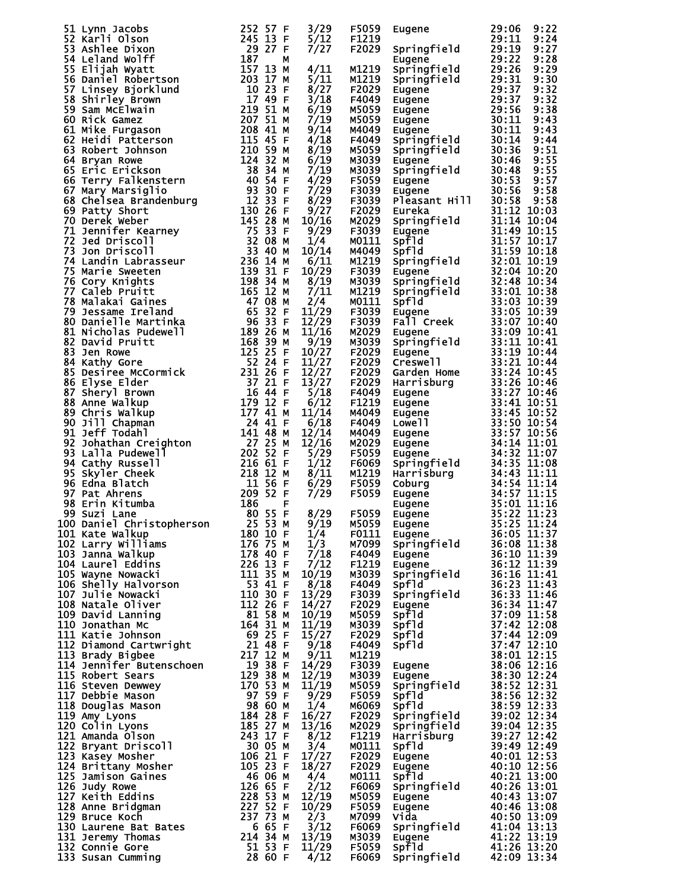|                                                                                                                                                                                                                                   |       | F5059                  | Eugene                                                                                                                                                                                                                               | 29:06<br>9:22 |
|-----------------------------------------------------------------------------------------------------------------------------------------------------------------------------------------------------------------------------------|-------|------------------------|--------------------------------------------------------------------------------------------------------------------------------------------------------------------------------------------------------------------------------------|---------------|
|                                                                                                                                                                                                                                   |       | F <sub>1219</sub>      |                                                                                                                                                                                                                                      | 29:11<br>9:24 |
|                                                                                                                                                                                                                                   |       | F2029                  | Springfield<br>Eugene                                                                                                                                                                                                                | 29:19<br>9:27 |
|                                                                                                                                                                                                                                   |       | M1219                  |                                                                                                                                                                                                                                      |               |
|                                                                                                                                                                                                                                   |       | M1219                  |                                                                                                                                                                                                                                      |               |
|                                                                                                                                                                                                                                   |       | F2029                  |                                                                                                                                                                                                                                      |               |
|                                                                                                                                                                                                                                   |       | F4049                  |                                                                                                                                                                                                                                      |               |
|                                                                                                                                                                                                                                   |       | M5059<br>M5059         |                                                                                                                                                                                                                                      |               |
|                                                                                                                                                                                                                                   |       | M4049                  |                                                                                                                                                                                                                                      |               |
|                                                                                                                                                                                                                                   |       | F4049                  |                                                                                                                                                                                                                                      |               |
|                                                                                                                                                                                                                                   |       | M5059                  |                                                                                                                                                                                                                                      |               |
|                                                                                                                                                                                                                                   |       | M3039                  |                                                                                                                                                                                                                                      |               |
|                                                                                                                                                                                                                                   |       | M3039<br>F5059         |                                                                                                                                                                                                                                      |               |
|                                                                                                                                                                                                                                   |       | F3039                  |                                                                                                                                                                                                                                      |               |
|                                                                                                                                                                                                                                   |       | F3039                  |                                                                                                                                                                                                                                      |               |
|                                                                                                                                                                                                                                   |       | F2029                  |                                                                                                                                                                                                                                      |               |
|                                                                                                                                                                                                                                   |       | M2029                  |                                                                                                                                                                                                                                      |               |
|                                                                                                                                                                                                                                   |       | F3039<br>M0111         |                                                                                                                                                                                                                                      |               |
|                                                                                                                                                                                                                                   |       | M4049                  |                                                                                                                                                                                                                                      |               |
|                                                                                                                                                                                                                                   |       | M1219                  |                                                                                                                                                                                                                                      |               |
|                                                                                                                                                                                                                                   |       | F3039                  |                                                                                                                                                                                                                                      |               |
|                                                                                                                                                                                                                                   |       | M3039                  |                                                                                                                                                                                                                                      |               |
|                                                                                                                                                                                                                                   |       | M1219<br>M0111         |                                                                                                                                                                                                                                      |               |
|                                                                                                                                                                                                                                   |       | F3039                  |                                                                                                                                                                                                                                      |               |
|                                                                                                                                                                                                                                   |       | F3039                  |                                                                                                                                                                                                                                      |               |
|                                                                                                                                                                                                                                   |       | M2029                  |                                                                                                                                                                                                                                      |               |
|                                                                                                                                                                                                                                   |       | M3039                  |                                                                                                                                                                                                                                      |               |
|                                                                                                                                                                                                                                   |       | F2029                  |                                                                                                                                                                                                                                      |               |
|                                                                                                                                                                                                                                   |       | F2029<br>F2029         |                                                                                                                                                                                                                                      |               |
|                                                                                                                                                                                                                                   |       | F2029                  |                                                                                                                                                                                                                                      |               |
|                                                                                                                                                                                                                                   |       | F4049                  |                                                                                                                                                                                                                                      |               |
|                                                                                                                                                                                                                                   |       | F <sub>1219</sub>      |                                                                                                                                                                                                                                      |               |
|                                                                                                                                                                                                                                   |       | M4049                  |                                                                                                                                                                                                                                      |               |
|                                                                                                                                                                                                                                   |       | F4049<br>M4049         |                                                                                                                                                                                                                                      |               |
|                                                                                                                                                                                                                                   |       | M2029                  |                                                                                                                                                                                                                                      |               |
|                                                                                                                                                                                                                                   |       | F5059                  |                                                                                                                                                                                                                                      |               |
|                                                                                                                                                                                                                                   |       | F6069                  |                                                                                                                                                                                                                                      |               |
|                                                                                                                                                                                                                                   |       | M1219                  |                                                                                                                                                                                                                                      |               |
|                                                                                                                                                                                                                                   |       | F5059<br>F5059         |                                                                                                                                                                                                                                      |               |
|                                                                                                                                                                                                                                   |       |                        |                                                                                                                                                                                                                                      |               |
|                                                                                                                                                                                                                                   |       | F5059                  |                                                                                                                                                                                                                                      |               |
|                                                                                                                                                                                                                                   |       | M5059                  |                                                                                                                                                                                                                                      |               |
|                                                                                                                                                                                                                                   | 1/3   | F0111<br>M7099         |                                                                                                                                                                                                                                      |               |
|                                                                                                                                                                                                                                   |       | F4049                  |                                                                                                                                                                                                                                      |               |
|                                                                                                                                                                                                                                   |       | F1219                  |                                                                                                                                                                                                                                      |               |
|                                                                                                                                                                                                                                   |       | M3039                  |                                                                                                                                                                                                                                      |               |
|                                                                                                                                                                                                                                   |       | F4049                  |                                                                                                                                                                                                                                      |               |
|                                                                                                                                                                                                                                   |       | F3039<br>F2029         |                                                                                                                                                                                                                                      |               |
|                                                                                                                                                                                                                                   |       | M5059                  |                                                                                                                                                                                                                                      |               |
|                                                                                                                                                                                                                                   |       | M3039                  |                                                                                                                                                                                                                                      |               |
|                                                                                                                                                                                                                                   |       | F2029                  |                                                                                                                                                                                                                                      |               |
|                                                                                                                                                                                                                                   |       | F4049<br>M1219         |                                                                                                                                                                                                                                      |               |
|                                                                                                                                                                                                                                   |       | F3039                  |                                                                                                                                                                                                                                      |               |
|                                                                                                                                                                                                                                   |       | м3039                  |                                                                                                                                                                                                                                      |               |
|                                                                                                                                                                                                                                   |       | M5059                  |                                                                                                                                                                                                                                      |               |
|                                                                                                                                                                                                                                   |       | F5059                  |                                                                                                                                                                                                                                      |               |
|                                                                                                                                                                                                                                   |       | M6069                  |                                                                                                                                                                                                                                      |               |
|                                                                                                                                                                                                                                   | 13/16 | F2029<br>M2029         |                                                                                                                                                                                                                                      |               |
|                                                                                                                                                                                                                                   |       | F1219                  |                                                                                                                                                                                                                                      |               |
|                                                                                                                                                                                                                                   |       | M0111                  |                                                                                                                                                                                                                                      |               |
|                                                                                                                                                                                                                                   |       | F2029                  |                                                                                                                                                                                                                                      |               |
|                                                                                                                                                                                                                                   |       | F2029                  |                                                                                                                                                                                                                                      |               |
|                                                                                                                                                                                                                                   |       | M0111<br>F6069         |                                                                                                                                                                                                                                      |               |
|                                                                                                                                                                                                                                   |       | M5059                  |                                                                                                                                                                                                                                      |               |
|                                                                                                                                                                                                                                   |       | F5059                  |                                                                                                                                                                                                                                      |               |
|                                                                                                                                                                                                                                   |       | M7099                  |                                                                                                                                                                                                                                      |               |
|                                                                                                                                                                                                                                   |       | F6069                  |                                                                                                                                                                                                                                      |               |
|                                                                                                                                                                                                                                   |       | M3039<br>$11/29$ F5059 |                                                                                                                                                                                                                                      |               |
| 51 Lynn 1acobs<br>512 Karl 10 som 252 ST F 3/22 ST F 3/22 ST F 3/22 ST F 3/22 ST F 3/22 ST F 3/22 ST F 6 ST F 6 ST F 6 ST F 6 ST F 6 ST F 6 ST F F 1/2<br>12 Lynn 140 St Party Market Store 12 20 3 17 P = 1/2 20 3 17 P = 1/2 20 |       | F6069                  | Eugene (1988)<br>Springfield 29:128 9:228 9:28<br>Springfield 29:126 9:228 9:228 9:228 9:228 9:228 9:228 9:228 9:228 9:228 9:238 12:128 20:138 9:338 12:138 11:14 20:158 12:158 12:158 12:158 12:158 12:158 12:158 12:168 13:158 11: |               |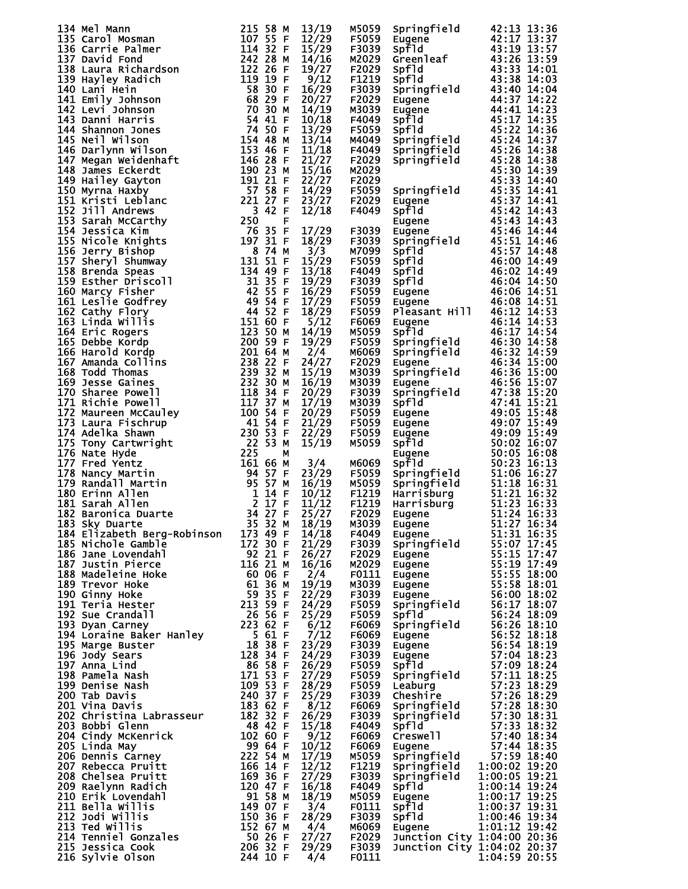|                                                                                                                                                                                                                                                                            | 215 58 M                      | 13/19        | M5059          |                                                                                                                                                                                                                                                              |                                                                                                                                                                                                                                                      |
|----------------------------------------------------------------------------------------------------------------------------------------------------------------------------------------------------------------------------------------------------------------------------|-------------------------------|--------------|----------------|--------------------------------------------------------------------------------------------------------------------------------------------------------------------------------------------------------------------------------------------------------------|------------------------------------------------------------------------------------------------------------------------------------------------------------------------------------------------------------------------------------------------------|
|                                                                                                                                                                                                                                                                            |                               | 12/29        | F5059          |                                                                                                                                                                                                                                                              |                                                                                                                                                                                                                                                      |
| 134 Mel Mann<br>135 Carol Mosman<br>135 Carrie Palmer<br>136 Carrie Palmer<br>137 David Fond<br>137 David Fond<br>138 Laura Richardson<br>138 Laura Richardson<br>140 Lani Hein<br>141 Emily Johnson<br>142 Levi Johnson<br>143 Danni Harris<br>144 S                      |                               | 15/29        | F3039          | Springfield<br>Eugene 42:13 13:36<br>Spfld 43:19 13:57<br>Spfld 43:26 13:59<br>Spfld 43:38 14:01<br>Spfld 43:38 14:03<br>Springfield 43:40 14:04<br>Eugene 44:47 14:22<br>Spfld 45:22 14:36<br>Springfield 45:22 14:36<br>Springfield 45:26 14:38<br>        |                                                                                                                                                                                                                                                      |
|                                                                                                                                                                                                                                                                            |                               |              |                |                                                                                                                                                                                                                                                              |                                                                                                                                                                                                                                                      |
|                                                                                                                                                                                                                                                                            |                               | 14/16        | M2029          |                                                                                                                                                                                                                                                              |                                                                                                                                                                                                                                                      |
|                                                                                                                                                                                                                                                                            |                               | 19/27        | F2029          |                                                                                                                                                                                                                                                              |                                                                                                                                                                                                                                                      |
|                                                                                                                                                                                                                                                                            |                               | 9/12         | F1219          |                                                                                                                                                                                                                                                              |                                                                                                                                                                                                                                                      |
|                                                                                                                                                                                                                                                                            |                               |              |                |                                                                                                                                                                                                                                                              |                                                                                                                                                                                                                                                      |
|                                                                                                                                                                                                                                                                            |                               | 16/29        | F3039          |                                                                                                                                                                                                                                                              |                                                                                                                                                                                                                                                      |
|                                                                                                                                                                                                                                                                            |                               | 20/27        | F2029          |                                                                                                                                                                                                                                                              |                                                                                                                                                                                                                                                      |
|                                                                                                                                                                                                                                                                            |                               |              |                |                                                                                                                                                                                                                                                              |                                                                                                                                                                                                                                                      |
|                                                                                                                                                                                                                                                                            |                               | 14/19        | M3039          |                                                                                                                                                                                                                                                              |                                                                                                                                                                                                                                                      |
|                                                                                                                                                                                                                                                                            |                               | 10/18        | F4049          |                                                                                                                                                                                                                                                              |                                                                                                                                                                                                                                                      |
|                                                                                                                                                                                                                                                                            |                               | 13/29        | F5059          |                                                                                                                                                                                                                                                              |                                                                                                                                                                                                                                                      |
|                                                                                                                                                                                                                                                                            |                               |              |                |                                                                                                                                                                                                                                                              |                                                                                                                                                                                                                                                      |
|                                                                                                                                                                                                                                                                            |                               | 13/14        | M4049          |                                                                                                                                                                                                                                                              |                                                                                                                                                                                                                                                      |
|                                                                                                                                                                                                                                                                            |                               | 11/18        | F4049          |                                                                                                                                                                                                                                                              |                                                                                                                                                                                                                                                      |
|                                                                                                                                                                                                                                                                            |                               | 21/27        | F2029          |                                                                                                                                                                                                                                                              |                                                                                                                                                                                                                                                      |
|                                                                                                                                                                                                                                                                            |                               |              |                |                                                                                                                                                                                                                                                              |                                                                                                                                                                                                                                                      |
|                                                                                                                                                                                                                                                                            |                               | 15/16        | M2029          |                                                                                                                                                                                                                                                              | 45:30 14:39                                                                                                                                                                                                                                          |
|                                                                                                                                                                                                                                                                            |                               | 22/27        | F2029          |                                                                                                                                                                                                                                                              | 45:33 14:40                                                                                                                                                                                                                                          |
|                                                                                                                                                                                                                                                                            |                               | 14/29        | F5059          |                                                                                                                                                                                                                                                              |                                                                                                                                                                                                                                                      |
|                                                                                                                                                                                                                                                                            |                               |              |                |                                                                                                                                                                                                                                                              |                                                                                                                                                                                                                                                      |
|                                                                                                                                                                                                                                                                            | $221$ $27$ F                  | 23/27        | F2029          |                                                                                                                                                                                                                                                              |                                                                                                                                                                                                                                                      |
|                                                                                                                                                                                                                                                                            |                               | 12/18        | F4049          |                                                                                                                                                                                                                                                              |                                                                                                                                                                                                                                                      |
|                                                                                                                                                                                                                                                                            |                               |              |                |                                                                                                                                                                                                                                                              |                                                                                                                                                                                                                                                      |
|                                                                                                                                                                                                                                                                            |                               |              |                |                                                                                                                                                                                                                                                              |                                                                                                                                                                                                                                                      |
|                                                                                                                                                                                                                                                                            |                               | 17/29        | F3039          |                                                                                                                                                                                                                                                              |                                                                                                                                                                                                                                                      |
|                                                                                                                                                                                                                                                                            |                               | 18/29        | F3039          |                                                                                                                                                                                                                                                              |                                                                                                                                                                                                                                                      |
|                                                                                                                                                                                                                                                                            |                               |              |                |                                                                                                                                                                                                                                                              | 45:33 14:40<br>Eugene 45:35 14:41<br>Eugene 45:37 14:41<br>Spf1d 45:42 14:43<br>Eugene 45:43 14:43<br>Eugene 45:43 14:44<br>Springfield 45:51 14:46<br>Spf1d 45:57 14:48<br>Spf1d 45:57 14:48<br>Spf1d 46:00 14:49<br>Spf1d 46:00 14:49<br>Spf1d 46: |
|                                                                                                                                                                                                                                                                            |                               | 3/3          | M7099          |                                                                                                                                                                                                                                                              |                                                                                                                                                                                                                                                      |
|                                                                                                                                                                                                                                                                            |                               | 15/29        | F5059          |                                                                                                                                                                                                                                                              |                                                                                                                                                                                                                                                      |
|                                                                                                                                                                                                                                                                            |                               | 13/18        | F4049          |                                                                                                                                                                                                                                                              |                                                                                                                                                                                                                                                      |
|                                                                                                                                                                                                                                                                            |                               |              |                |                                                                                                                                                                                                                                                              |                                                                                                                                                                                                                                                      |
|                                                                                                                                                                                                                                                                            |                               | 19/29        | F3039          |                                                                                                                                                                                                                                                              |                                                                                                                                                                                                                                                      |
|                                                                                                                                                                                                                                                                            |                               | 16/29        | F5059          |                                                                                                                                                                                                                                                              |                                                                                                                                                                                                                                                      |
|                                                                                                                                                                                                                                                                            |                               | 17/29        | F5059          |                                                                                                                                                                                                                                                              |                                                                                                                                                                                                                                                      |
|                                                                                                                                                                                                                                                                            |                               |              |                |                                                                                                                                                                                                                                                              |                                                                                                                                                                                                                                                      |
|                                                                                                                                                                                                                                                                            |                               | 18/29        | F5059          |                                                                                                                                                                                                                                                              |                                                                                                                                                                                                                                                      |
|                                                                                                                                                                                                                                                                            |                               | 5/12         | F6069          |                                                                                                                                                                                                                                                              |                                                                                                                                                                                                                                                      |
|                                                                                                                                                                                                                                                                            | 123 50 M                      | 14/19        | M5059          |                                                                                                                                                                                                                                                              |                                                                                                                                                                                                                                                      |
|                                                                                                                                                                                                                                                                            |                               |              |                |                                                                                                                                                                                                                                                              |                                                                                                                                                                                                                                                      |
|                                                                                                                                                                                                                                                                            |                               | 19/29        | F5059          |                                                                                                                                                                                                                                                              | Preasant H111 46:12 14:53<br>Eugene 46:14 14:53<br>Springfield 46:30 14:58<br>Springfield 46:30 14:58<br>Springfield 46:32 14:59<br>Eugene 46:34 15:00<br>Springfield 46:36 15:00<br>Eugene 46:56 15:07<br>Springfield 47:38 15:20<br>Springfiel     |
|                                                                                                                                                                                                                                                                            |                               | 2/4          | M6069          |                                                                                                                                                                                                                                                              |                                                                                                                                                                                                                                                      |
|                                                                                                                                                                                                                                                                            |                               |              |                |                                                                                                                                                                                                                                                              |                                                                                                                                                                                                                                                      |
|                                                                                                                                                                                                                                                                            |                               | 24/27        | F2029          |                                                                                                                                                                                                                                                              |                                                                                                                                                                                                                                                      |
|                                                                                                                                                                                                                                                                            | 239 32 M                      | 15/19        | M3039          |                                                                                                                                                                                                                                                              |                                                                                                                                                                                                                                                      |
|                                                                                                                                                                                                                                                                            |                               | 16/19        | M3039          |                                                                                                                                                                                                                                                              |                                                                                                                                                                                                                                                      |
|                                                                                                                                                                                                                                                                            |                               |              |                |                                                                                                                                                                                                                                                              |                                                                                                                                                                                                                                                      |
|                                                                                                                                                                                                                                                                            |                               | 20/29        | F3039          |                                                                                                                                                                                                                                                              |                                                                                                                                                                                                                                                      |
|                                                                                                                                                                                                                                                                            |                               | 17/19        | M3039          |                                                                                                                                                                                                                                                              |                                                                                                                                                                                                                                                      |
|                                                                                                                                                                                                                                                                            |                               | 20/29        | F5059          |                                                                                                                                                                                                                                                              |                                                                                                                                                                                                                                                      |
|                                                                                                                                                                                                                                                                            |                               |              |                |                                                                                                                                                                                                                                                              |                                                                                                                                                                                                                                                      |
|                                                                                                                                                                                                                                                                            |                               | 21/29        | F5059          |                                                                                                                                                                                                                                                              |                                                                                                                                                                                                                                                      |
|                                                                                                                                                                                                                                                                            |                               | 22/29        | F5059          |                                                                                                                                                                                                                                                              |                                                                                                                                                                                                                                                      |
|                                                                                                                                                                                                                                                                            |                               | 15/19        | M5059          |                                                                                                                                                                                                                                                              |                                                                                                                                                                                                                                                      |
|                                                                                                                                                                                                                                                                            |                               |              |                |                                                                                                                                                                                                                                                              |                                                                                                                                                                                                                                                      |
|                                                                                                                                                                                                                                                                            |                               |              |                |                                                                                                                                                                                                                                                              |                                                                                                                                                                                                                                                      |
|                                                                                                                                                                                                                                                                            |                               | 3/4          | M6069          |                                                                                                                                                                                                                                                              |                                                                                                                                                                                                                                                      |
|                                                                                                                                                                                                                                                                            |                               | 23/29        |                |                                                                                                                                                                                                                                                              |                                                                                                                                                                                                                                                      |
|                                                                                                                                                                                                                                                                            |                               |              | F5059          |                                                                                                                                                                                                                                                              |                                                                                                                                                                                                                                                      |
|                                                                                                                                                                                                                                                                            |                               | 16/19        | M5059          |                                                                                                                                                                                                                                                              |                                                                                                                                                                                                                                                      |
|                                                                                                                                                                                                                                                                            |                               | 10/12        | F1219          |                                                                                                                                                                                                                                                              |                                                                                                                                                                                                                                                      |
|                                                                                                                                                                                                                                                                            |                               |              |                |                                                                                                                                                                                                                                                              |                                                                                                                                                                                                                                                      |
|                                                                                                                                                                                                                                                                            |                               | 11/12        | F1219          |                                                                                                                                                                                                                                                              |                                                                                                                                                                                                                                                      |
|                                                                                                                                                                                                                                                                            |                               | 25/27        | F2029          |                                                                                                                                                                                                                                                              |                                                                                                                                                                                                                                                      |
| 171 Richie Powell<br>172 Maureen McCauley<br>172 Maureen McCauley<br>173 Laura Fischrup<br>174 Adelka Shawn<br>175 Tony Cartwright<br>175 Tony Cartwright<br>175 Nancy Martin<br>176 Nate Hyde<br>176 Nate Hyde<br>176 Nate Hyde<br>176 Nate Hyde<br>1<br>183 Sky Duarte   | $35\,32\,M$                   | 18/19        | M3039          | 91714<br>Eugene 49:05 15:48<br>Eugene 49:05 15:48<br>Eugene 49:07 15:49<br>Spf1d 50:02 16:07<br>Spf1d 50:02 16:07<br>Springfield 51:06 16:27<br>Springfield 51:06 16:27<br>Springfield 51:18 16:31<br>Aarrisburg 51:21 16:32<br>Harrisburg 51:21 1<br>Eugene | 51:27 16:34                                                                                                                                                                                                                                          |
|                                                                                                                                                                                                                                                                            |                               |              |                |                                                                                                                                                                                                                                                              |                                                                                                                                                                                                                                                      |
| 184 Elizabeth Berg-Robinson                                                                                                                                                                                                                                                | 173 49 F                      | 14/18        | F4049          | Eugene<br>Eugene<br>Springfield<br>Eugene                                                                                                                                                                                                                    | 51:31 16:35                                                                                                                                                                                                                                          |
| 185 Nichole Gamble                                                                                                                                                                                                                                                         | 172 30 F                      | 21/29        | F3039          |                                                                                                                                                                                                                                                              | 55:07 17:45                                                                                                                                                                                                                                          |
| 186 Jane Lovendahl                                                                                                                                                                                                                                                         | $92\,$ $\tilde{2}\tilde{1}$ F | 26/27        | F2029          |                                                                                                                                                                                                                                                              | 55:15 17:47                                                                                                                                                                                                                                          |
|                                                                                                                                                                                                                                                                            |                               |              |                |                                                                                                                                                                                                                                                              |                                                                                                                                                                                                                                                      |
|                                                                                                                                                                                                                                                                            | 116 21 M                      | 16/16        | M2029          |                                                                                                                                                                                                                                                              |                                                                                                                                                                                                                                                      |
|                                                                                                                                                                                                                                                                            |                               | 2/4          | F0111          |                                                                                                                                                                                                                                                              |                                                                                                                                                                                                                                                      |
|                                                                                                                                                                                                                                                                            |                               | 19/19        | M3039          |                                                                                                                                                                                                                                                              |                                                                                                                                                                                                                                                      |
|                                                                                                                                                                                                                                                                            |                               |              |                |                                                                                                                                                                                                                                                              |                                                                                                                                                                                                                                                      |
| 180 Jane Lovendant<br>187 Justin Pierce<br>188 Madeleine Hoke<br>189 Trevor Hoke<br>190 Ginny Hoke<br>190 Ginny Hoke<br>191 Teria Hester<br>192 Sue Crandal<br>193 Dyan Carney<br>193 Dyan Carney<br>195 Narge Buster<br>195 Narge Buster<br>195 Narge                     |                               | 22/29        | F3039          |                                                                                                                                                                                                                                                              | Eugene 55:15 17:47<br>Eugene 55:15 17:47<br>Eugene 55:55 18:00<br>Eugene 55:55 18:00<br>Eugene 55:58 18:01<br>Eugene 56:00 18:02<br>Springfield 56:17 18:07<br>Springfield 56:24 18:09<br>Springfield 56:26 18:10<br>Eugene 56:52 18:18<br>Eugene    |
|                                                                                                                                                                                                                                                                            |                               | 24/29        | F5059          |                                                                                                                                                                                                                                                              |                                                                                                                                                                                                                                                      |
|                                                                                                                                                                                                                                                                            |                               | 25/29        | F5059          |                                                                                                                                                                                                                                                              |                                                                                                                                                                                                                                                      |
|                                                                                                                                                                                                                                                                            |                               |              |                |                                                                                                                                                                                                                                                              |                                                                                                                                                                                                                                                      |
|                                                                                                                                                                                                                                                                            |                               | 6/12         | F6069          |                                                                                                                                                                                                                                                              |                                                                                                                                                                                                                                                      |
|                                                                                                                                                                                                                                                                            |                               | 7/12         | F6069          |                                                                                                                                                                                                                                                              |                                                                                                                                                                                                                                                      |
|                                                                                                                                                                                                                                                                            |                               | 23/29        | F3039          |                                                                                                                                                                                                                                                              |                                                                                                                                                                                                                                                      |
|                                                                                                                                                                                                                                                                            |                               |              |                |                                                                                                                                                                                                                                                              |                                                                                                                                                                                                                                                      |
|                                                                                                                                                                                                                                                                            |                               | 24/29        | F3039          | Eugene                                                                                                                                                                                                                                                       | 57:04 18:23                                                                                                                                                                                                                                          |
|                                                                                                                                                                                                                                                                            |                               | 26/29        | F5059          | <b>spf1d</b>                                                                                                                                                                                                                                                 | 57:09 18:24                                                                                                                                                                                                                                          |
|                                                                                                                                                                                                                                                                            |                               | 27/29        | F5059          |                                                                                                                                                                                                                                                              | $57:11$ $\overline{18}:25$                                                                                                                                                                                                                           |
|                                                                                                                                                                                                                                                                            |                               |              |                | springfield<br>Leaburg                                                                                                                                                                                                                                       |                                                                                                                                                                                                                                                      |
|                                                                                                                                                                                                                                                                            |                               | 28/29        | F5059          | Leaburg<br>Leabury<br>Cheshire<br>Springfield<br>Springfield                                                                                                                                                                                                 | 57:23 18:29                                                                                                                                                                                                                                          |
|                                                                                                                                                                                                                                                                            |                               | 25/29        | F3039          |                                                                                                                                                                                                                                                              |                                                                                                                                                                                                                                                      |
| 201 Vina Davis                                                                                                                                                                                                                                                             | 240 37 F<br>183 62 F          | 8/12         | F6069          |                                                                                                                                                                                                                                                              | 57:26 18:29<br>57:28 18:30                                                                                                                                                                                                                           |
|                                                                                                                                                                                                                                                                            |                               |              |                |                                                                                                                                                                                                                                                              |                                                                                                                                                                                                                                                      |
| 202 Christina Labrasseur                                                                                                                                                                                                                                                   | 182 32 F                      | 26/29        | F3039          |                                                                                                                                                                                                                                                              | 57:30 18:31                                                                                                                                                                                                                                          |
| 203 Bobbi Glenn                                                                                                                                                                                                                                                            | 48 42 F                       | 15/18        | F4049          | <b>Spfld</b>                                                                                                                                                                                                                                                 | 57:33 18:32                                                                                                                                                                                                                                          |
| 204 Cindy McKenrick<br>205 Linda May                                                                                                                                                                                                                                       | 102 60 F                      |              | F6069          |                                                                                                                                                                                                                                                              | 57:40 18:34                                                                                                                                                                                                                                          |
|                                                                                                                                                                                                                                                                            |                               | 9/12         |                | Creswell<br>Eugene                                                                                                                                                                                                                                           |                                                                                                                                                                                                                                                      |
| 205 Linda May                                                                                                                                                                                                                                                              | 99 64 F                       | 10/12        | F6069          | Eugene                                                                                                                                                                                                                                                       | 57:44 18:35                                                                                                                                                                                                                                          |
|                                                                                                                                                                                                                                                                            |                               | 17/19        | M5059          |                                                                                                                                                                                                                                                              |                                                                                                                                                                                                                                                      |
|                                                                                                                                                                                                                                                                            |                               |              |                |                                                                                                                                                                                                                                                              | Eugene 57:44 18:35<br>Springfield 57:59 18:40<br>Springfield 1:00:02 19:20                                                                                                                                                                           |
|                                                                                                                                                                                                                                                                            |                               | 12/12        | F1219          |                                                                                                                                                                                                                                                              |                                                                                                                                                                                                                                                      |
|                                                                                                                                                                                                                                                                            |                               | 27/29        | F3039          |                                                                                                                                                                                                                                                              | springfield 1:00:05 19:21<br>spfld 1:00:14 19:24                                                                                                                                                                                                     |
|                                                                                                                                                                                                                                                                            |                               | 16/18        | F4049          |                                                                                                                                                                                                                                                              |                                                                                                                                                                                                                                                      |
|                                                                                                                                                                                                                                                                            |                               |              |                |                                                                                                                                                                                                                                                              |                                                                                                                                                                                                                                                      |
|                                                                                                                                                                                                                                                                            |                               | 18/19        | M5059          | Eugene                                                                                                                                                                                                                                                       | 1:00:17 19:25                                                                                                                                                                                                                                        |
|                                                                                                                                                                                                                                                                            |                               | 3/4          | F0111          | <b>spf1d</b>                                                                                                                                                                                                                                                 | 1:00:37 19:31                                                                                                                                                                                                                                        |
|                                                                                                                                                                                                                                                                            |                               |              |                |                                                                                                                                                                                                                                                              |                                                                                                                                                                                                                                                      |
|                                                                                                                                                                                                                                                                            |                               |              |                |                                                                                                                                                                                                                                                              |                                                                                                                                                                                                                                                      |
|                                                                                                                                                                                                                                                                            |                               | 28/29        | F3039          |                                                                                                                                                                                                                                                              | 1:00:46 19:34                                                                                                                                                                                                                                        |
|                                                                                                                                                                                                                                                                            |                               | 4/4          | M6069          | $S$ $P$ $T$ $d$<br>Eugene                                                                                                                                                                                                                                    | 1:01:12 19:42                                                                                                                                                                                                                                        |
|                                                                                                                                                                                                                                                                            |                               |              |                |                                                                                                                                                                                                                                                              |                                                                                                                                                                                                                                                      |
|                                                                                                                                                                                                                                                                            |                               | 27/27        | F2029          |                                                                                                                                                                                                                                                              | Junction City 1:04:00 20:36                                                                                                                                                                                                                          |
| 205 Linda May<br>206 Dennis Carney<br>207 Rebecca Pruitt<br>208 Chelsea Pruitt<br>209 Raelynn Radich<br>209 Raelynn Radich<br>210 Erik Lovendahl<br>211 Bella Willis<br>211 Bella Willis<br>212 Jodi Willis<br>213 Ted Willis<br>213 Ted Willis<br>213<br>216 Sylvie Olson | 244 10 F                      | 29/29<br>4/4 | F3039<br>F0111 |                                                                                                                                                                                                                                                              | Junction City 1:04:02 20:37<br>1:04:59 20:55                                                                                                                                                                                                         |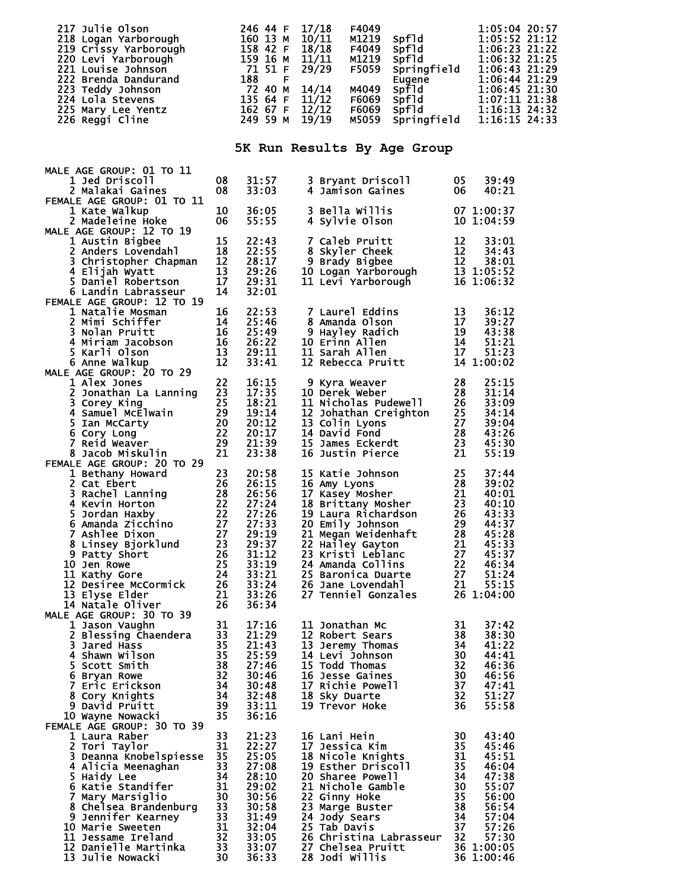| 217 Julie Olson<br>218 Logan Yarborough<br>218 Logan Yarborough<br>219 Crissy Yarborough<br>220 Levi Yarborough<br>220 Levi Yarborough<br>221 Louise Johnson<br>221 Louise Johnson<br>222 Brenda Dandurand<br>223 Teddy Johnson<br>223 Teddy Johns                                                                                                                                     |                                   |                                                                                                                                                         | 14/14 | F4049<br>M1219<br>F4049<br>M1219<br>F5059<br>M4049<br>F6069<br>F6069<br>M5059                                                                                                                                                                                                                                                                                          |                                  |                                               | 1:05:04 20:57<br>spf1d<br>spf1d<br>spf1d<br>1:06:23 21:22<br>9710 1:06:23 21:22<br>9710 1:06:32 21:25<br>9710 1:06:43 21:29<br>9710 1:06:44 21:29<br>9710 1:06:45 21:30<br>9710 1:07:11 21:38<br>9710 1:07:11 21:38<br>9710 1:16:13 24:32<br>9710 1:16:13 24:32<br>9710 1:16:15 24:33 |  |
|----------------------------------------------------------------------------------------------------------------------------------------------------------------------------------------------------------------------------------------------------------------------------------------------------------------------------------------------------------------------------------------|-----------------------------------|---------------------------------------------------------------------------------------------------------------------------------------------------------|-------|------------------------------------------------------------------------------------------------------------------------------------------------------------------------------------------------------------------------------------------------------------------------------------------------------------------------------------------------------------------------|----------------------------------|-----------------------------------------------|---------------------------------------------------------------------------------------------------------------------------------------------------------------------------------------------------------------------------------------------------------------------------------------|--|
|                                                                                                                                                                                                                                                                                                                                                                                        |                                   | 5K Run Results By Age Group                                                                                                                             |       |                                                                                                                                                                                                                                                                                                                                                                        |                                  |                                               |                                                                                                                                                                                                                                                                                       |  |
| MALE AGE GROUP: 01 TO 11<br><b>1 Jed Driscoll</b><br>2 Malakai Gaines                                                                                                                                                                                                                                                                                                                  | 08<br>08                          | 31:57<br>33:03                                                                                                                                          |       | 3 Bryant Driscoll<br>4 Jamison Gaines                                                                                                                                                                                                                                                                                                                                  |                                  | 05<br>06                                      | 39:49<br>40:21                                                                                                                                                                                                                                                                        |  |
| FEMALE AGE GROUP: 01 TO 11<br>1 Kate Walkup<br>2 Madeleine Hoke                                                                                                                                                                                                                                                                                                                        | 10<br>06                          | 36:05<br>55:55<br>55:55                                                                                                                                 |       | 3 Bella Willis<br>4 Sylvie Olson                                                                                                                                                                                                                                                                                                                                       |                                  |                                               | 07 1:00:37<br>10 1:04:59                                                                                                                                                                                                                                                              |  |
| MALE AGE GROUP: 12 TO 19<br>1 Austin Bigbee<br>1 Austin Bigbee 15<br>2 Anders Lovendahl 18<br>3 Christopher Chapman 12<br>4 Eliiah Wyatt 13<br>4 Elijah Wyatt<br>5 Daniel Robertson<br>6 Landin Labrasseur                                                                                                                                                                             | 15<br>$\overline{13}$<br>17<br>14 | 22:43<br>22:55<br>28:17<br>29:26<br>29:31<br>32:01                                                                                                      |       | 7 Caleb Pruitt<br>8 Skyler Cheek<br>9 Brady Bigbee<br>10 Logan Yarborough<br>13 1:05:52<br>11 Levi Yarborough<br>16 1:06:32                                                                                                                                                                                                                                            |                                  |                                               |                                                                                                                                                                                                                                                                                       |  |
| 32:0<br>32:0<br>3 Nolan Pruit<br>4 Miriam Jacobson<br>6 Anne Walkup<br>4 Alex Jones<br>5 Karli Olson<br>6 Anne Walkup<br>6 Anne Walkup<br>4 Alex Jones<br>2 Jonathan La Ich<br>2 Jonathan La Ich<br>3 Corey<br>7<br>4 Alex Jones<br>2 Jonathan La Ich<br>3 Cor                                                                                                                         |                                   |                                                                                                                                                         |       |                                                                                                                                                                                                                                                                                                                                                                        |                                  |                                               |                                                                                                                                                                                                                                                                                       |  |
| 1 Alex Jones<br>2 Jonathan La Lanning<br>23 Corey King<br>4 Samuel McElwain<br>5 Ian McCarty<br>6 Cory Long<br>7 Reid Weaver<br>8 Jacob Miskulin<br>29<br>7 Reid Weaver<br>29<br>8 Jacob Miskulin<br>8 Jacob Miskulin                                                                                                                                                                  | - 21                              | 18:21<br>19:14<br>20:12<br>20:17<br>21:39<br>23:38                                                                                                      |       | 9 Kyra Weaver<br>10 Derek Weber<br>11 Nicholas Pudewell<br>12 Johathan Creighton<br>13 Colin Lyons<br>14 David Fond<br>15 James Eckerdt<br>16 Justin Pierce<br>21<br>16 Justin Pierce<br>21                                                                                                                                                                            |                                  |                                               | 25:15<br>31:14<br>33:09<br>34:14<br>39:04<br>43:26<br>45:30<br>55:19                                                                                                                                                                                                                  |  |
| FEMALE AGE GROUP: 20 TO 29<br>1 Bethany Howard<br>2 Cat Ebert<br>3 Rachel Lanning<br>4 Kevin Horton<br>5 Jordan Haxby<br>6 Amanda Zicchino<br>2 27:24<br>5 Amanda Zicchino<br>27 27:33<br>7 Ashlee Dixon<br>8 Linsey Bjorklund<br>9 Patty Short<br>9 Patty Short<br>10 Jen Rowe<br>11 Kathy Gore<br>12 Desiree McCormick<br>13 Elyse Elder<br>21<br>13 Elyse Elder<br>14 Natale Oliver | 21<br>26                          | 29:19<br>29:37<br>$29:37$<br>$31:12$<br>$33:19$<br>$33:21$<br>$33:21$<br>$\frac{33:24}{33:26}$<br>33:26<br>36:34                                        |       | 20 Emily Johnson 29<br>21 Megan Weidenhaft<br>22 Hailey Gayton<br>23 Kristi Leblanc<br>23 Kristi Leblanc<br>24 Amanda Collins<br>25 Baronica Duarte<br>26 Jane Lovendahl<br>27 S1:24<br>26 Jane Lovendahl<br>27 S1:24<br>27 S1:24<br>27 Tenniel Gonzales<br>26 1:04:00                                                                                                 |                                  | 28                                            | 44:37<br>45:28                                                                                                                                                                                                                                                                        |  |
| MALE AGE GROUP: 30 TO 39<br>1 Jason Vaughn<br>2 Blessing Chaendera<br>3 3 Jared Hass<br>3 3 Jared Hass<br>4 Shawn Wilson<br>6 Bryan Rowe<br>7 Eric Erickson<br>8 Cory Knights<br>8 David Pruitt<br>0 Wayne Nowacki<br>1 9 David Pruitt<br>3 35<br>1 By Savid Pruitt<br>2 Mayne Nowac<br>10 Wayne Nowacki<br>FEMALE AGE GROUP: 30 TO 39                                                 |                                   | 17:16<br>21:29<br>21:43<br>25:59<br>27:46<br>30:46<br>30:48<br>32:48<br>33:11<br>36:16                                                                  |       | 11 Jonathan Mc<br>11 Jonatnan me<br>12 Robert Sears<br>13 Jeremy Thomas<br>14 Levi Johnson<br>15 Todd Thomas<br>16 Jesse Gaines<br>16 Jesse Gaines<br>17 Richie Powell<br>17 Richie Powell<br>18 Gester Barry Martia 32<br>17 Archie Powell<br>19 Gev Duarte<br>19 Geste<br>19 Trevor Hoke                                                                             |                                  | 31<br>36                                      | 37:42<br>55:58                                                                                                                                                                                                                                                                        |  |
| 1 Laura Raber<br>2 Tori Taylor<br>3 Deanna Knobelspiesse 35<br>3 Deanna Knobelspiesse<br>4 Alicia Meenaghan<br>5 Haidy Lee<br>6 Katie Standifer<br>6 Katie Standifer<br>7 Mary Marsiglio<br>8 Chelsea Brandenburg<br>9 Jennifer Kearney<br>9 Jennifer Kearney<br>9 Jennie Sweeten<br>11 Jessame Ireland<br>12 Danie<br>13 Julie Nowacki                                                | 33<br>31<br>30                    | 21:23<br>22:27<br>25:05<br>27:08<br>28:10<br>29:02<br>30:56<br>$\frac{30:58}{31:49}$<br>$\begin{array}{r} 32:04 \\ 33:05 \\ 33:07 \end{array}$<br>36:33 |       | 16 Lani Hein<br>17 Jessica Kim<br>18 Nicole Knights<br>19 Esther Driscoll<br>20 Sharee Powell<br>20 Sharee Powell<br>21 Nichole Gamble<br>22 Ginny Hoke<br>23 Marge Buster<br>24 Jody Sears<br>25 Tab Davis<br>25 Tab Davis<br>27 57:26<br>27 57:26<br>26 Christina Labrasseur 32 57:30<br>27 Chelsea Pruitt 36 1:00:05<br>28 Jodi Willie 36 1:00:46<br>28 Jodi Willis | $\frac{35}{34}$<br>$36\;1:00:46$ | 30<br>$\begin{array}{c} 35 \\ 31 \end{array}$ | 43:40<br>45:46<br>45:51<br>46:04<br>47:38<br>57:30                                                                                                                                                                                                                                    |  |